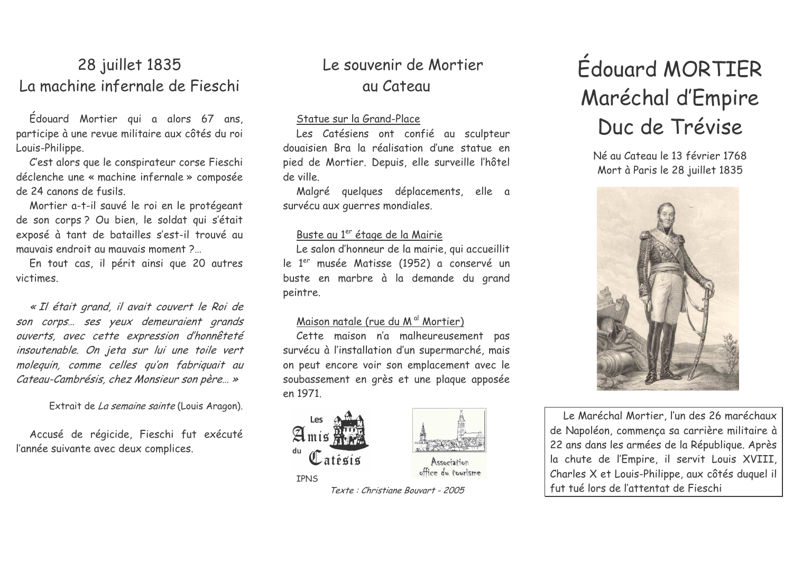## 28 juillet 1835 La machine infernale de Fieschi

Édouard Mortier qui a alors 67 ans, participe à une revue militaire aux côtés du roi Louis-Philippe.

C'est alors que le conspirateur corse Fieschi déclenche une « machine infernale » composée de 24 canons de fusils.

Mortier a-t-il sauvé le roi en le protégeant de son corps ? Ou bien, le soldat qui s'était exposé à tant de batailles s'est-il trouvé au mauvais endroit au mauvais moment?

En tout cas, il périt ainsi que 20 autres victimes

« Il était grand, il avait couvert le Roi de son corps... ses yeux demeuraient grands ouverts, avec cette expression d'honnêteté insoutenable. On jeta sur lui une toile vert molequin, comme celles qu'on fabriquait au Cateau-Cambrésis, chez Monsieur son père... »

Extrait de La semaine sainte (Louis Aragon).

Accusé de régicide, Fieschi fut exécuté l'année suivante avec deux complices.

## Le souvenir de Mortier au Cateau

#### Statue sur la Grand-Place

Les Catésiens ont confié au sculpteur douaisien Bra la réalisation d'une statue en pied de Mortier. Depuis, elle surveille l'hôtel de ville

Malgré quelques déplacements, elle a survécu aux querres mondiales.

#### Buste au 1<sup>er</sup> étage de la Mairie

Le salon d'honneur de la mairie, qui accueillit le 1<sup>er</sup> musée Matisse (1952) a conservé un buste en marbre à la demande du grand peintre.

#### Maison natale (rue du M<sup>al</sup> Mortier)

Cette maison n'a malheureusement pas survécu à l'installation d'un supermarché, mais on peut encore voir son emplacement avec le soubassement en grès et une plaque apposée en 1971.



# **Édouard MORTIER** Maréchal d'Empire Duc de Trévise

Né au Cateau le 13 février 1768 Mort à Paris le 28 juillet 1835



Le Maréchal Mortier, l'un des 26 maréchaux de Napoléon, commença sa carrière militaire à 22 ans dans les armées de la République. Après la chute de l'Empire, il servit Louis XVIII, Charles X et Louis-Philippe, aux côtés duquel il fut tué lors de l'attentat de Fieschi